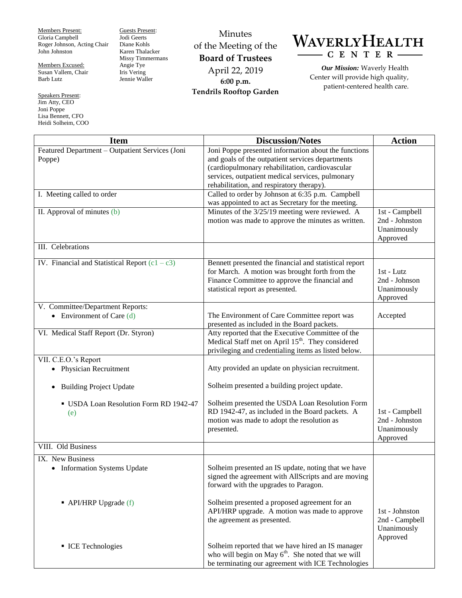Members Present: Gloria Campbell Roger Johnson, Acting Chair John Johnston

Members Excused: Susan Vallem, Chair Barb Lutz

Speakers Present: Jim Atty, CEO Joni Poppe Lisa Bennett, CFO Heidi Solheim, COO Guests Present: Jodi Geerts Diane Kohls Karen Thalacker Missy Timmermans Angie Tye Iris Vering Jennie Waller

Minutes of the Meeting of the **Board of Trustees** April 22, 2019 **6:00 p.m. Tendrils Rooftop Garden**



*Our Mission:* Waverly Health Center will provide high quality, patient-centered health care.

| <b>Item</b>                                                     | <b>Discussion/Notes</b>                                                                                                                                                                        | <b>Action</b>                                               |
|-----------------------------------------------------------------|------------------------------------------------------------------------------------------------------------------------------------------------------------------------------------------------|-------------------------------------------------------------|
| Featured Department - Outpatient Services (Joni<br>Poppe)       | Joni Poppe presented information about the functions<br>and goals of the outpatient services departments<br>(cardiopulmonary rehabilitation, cardiovascular                                    |                                                             |
|                                                                 | services, outpatient medical services, pulmonary<br>rehabilitation, and respiratory therapy).                                                                                                  |                                                             |
| I. Meeting called to order                                      | Called to order by Johnson at 6:35 p.m. Campbell<br>was appointed to act as Secretary for the meeting.                                                                                         |                                                             |
| II. Approval of minutes (b)                                     | Minutes of the $3/25/19$ meeting were reviewed. A<br>motion was made to approve the minutes as written.                                                                                        | 1st - Campbell<br>2nd - Johnston<br>Unanimously<br>Approved |
| III. Celebrations                                               |                                                                                                                                                                                                |                                                             |
| IV. Financial and Statistical Report $(c1 - c3)$                | Bennett presented the financial and statistical report<br>for March. A motion was brought forth from the<br>Finance Committee to approve the financial and<br>statistical report as presented. | 1st - Lutz<br>2nd - Johnson<br>Unanimously<br>Approved      |
| V. Committee/Department Reports:<br>• Environment of Care $(d)$ | The Environment of Care Committee report was<br>presented as included in the Board packets.                                                                                                    | Accepted                                                    |
| VI. Medical Staff Report (Dr. Styron)                           | Atty reported that the Executive Committee of the<br>Medical Staff met on April 15 <sup>th</sup> . They considered<br>privileging and credentialing items as listed below.                     |                                                             |
| VII. C.E.O.'s Report                                            |                                                                                                                                                                                                |                                                             |
| • Physician Recruitment                                         | Atty provided an update on physician recruitment.                                                                                                                                              |                                                             |
| <b>Building Project Update</b><br>$\bullet$                     | Solheim presented a building project update.                                                                                                                                                   |                                                             |
| USDA Loan Resolution Form RD 1942-47<br>(e)                     | Solheim presented the USDA Loan Resolution Form<br>RD 1942-47, as included in the Board packets. A<br>motion was made to adopt the resolution as<br>presented.                                 | 1st - Campbell<br>2nd - Johnston<br>Unanimously<br>Approved |
| VIII. Old Business                                              |                                                                                                                                                                                                |                                                             |
| IX. New Business<br>• Information Systems Update                | Solheim presented an IS update, noting that we have<br>signed the agreement with AllScripts and are moving<br>forward with the upgrades to Paragon.                                            |                                                             |
| $\blacksquare$ API/HRP Upgrade (f)                              | Solheim presented a proposed agreement for an<br>API/HRP upgrade. A motion was made to approve<br>the agreement as presented.                                                                  | 1st - Johnston<br>2nd - Campbell<br>Unanimously<br>Approved |
| ■ ICE Technologies                                              | Solheim reported that we have hired an IS manager<br>who will begin on May $6th$ . She noted that we will<br>be terminating our agreement with ICE Technologies                                |                                                             |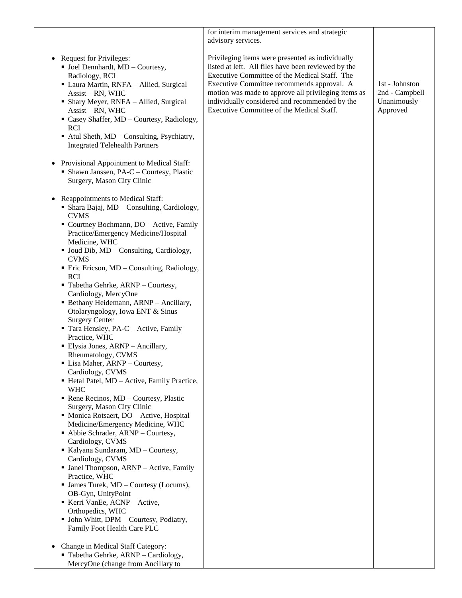|                                                                                                                                                                                                                                                                                                                                                                                                                                                                                                                                                                                                                                                                                                                                                                                                                                                                                                                          | for interim management services and strategic<br>advisory services.                                                                                                                                                                                                                                                                                          |                                                             |
|--------------------------------------------------------------------------------------------------------------------------------------------------------------------------------------------------------------------------------------------------------------------------------------------------------------------------------------------------------------------------------------------------------------------------------------------------------------------------------------------------------------------------------------------------------------------------------------------------------------------------------------------------------------------------------------------------------------------------------------------------------------------------------------------------------------------------------------------------------------------------------------------------------------------------|--------------------------------------------------------------------------------------------------------------------------------------------------------------------------------------------------------------------------------------------------------------------------------------------------------------------------------------------------------------|-------------------------------------------------------------|
| <b>Request for Privileges:</b><br>$\blacksquare$ Joel Dennhardt, MD - Courtesy,<br>Radiology, RCI<br>· Laura Martin, RNFA - Allied, Surgical<br>Assist - RN, WHC<br>• Shary Meyer, RNFA - Allied, Surgical<br>Assist - RN, WHC<br>• Casey Shaffer, MD - Courtesy, Radiology,<br><b>RCI</b><br>Atul Sheth, MD - Consulting, Psychiatry,<br><b>Integrated Telehealth Partners</b>                                                                                                                                                                                                                                                                                                                                                                                                                                                                                                                                          | Privileging items were presented as individually<br>listed at left. All files have been reviewed by the<br>Executive Committee of the Medical Staff. The<br>Executive Committee recommends approval. A<br>motion was made to approve all privileging items as<br>individually considered and recommended by the<br>Executive Committee of the Medical Staff. | 1st - Johnston<br>2nd - Campbell<br>Unanimously<br>Approved |
| Provisional Appointment to Medical Staff:<br>• Shawn Janssen, PA-C - Courtesy, Plastic<br>Surgery, Mason City Clinic                                                                                                                                                                                                                                                                                                                                                                                                                                                                                                                                                                                                                                                                                                                                                                                                     |                                                                                                                                                                                                                                                                                                                                                              |                                                             |
| Reappointments to Medical Staff:<br>• Shara Bajaj, MD – Consulting, Cardiology,                                                                                                                                                                                                                                                                                                                                                                                                                                                                                                                                                                                                                                                                                                                                                                                                                                          |                                                                                                                                                                                                                                                                                                                                                              |                                                             |
| <b>CVMS</b><br>• Courtney Bochmann, DO - Active, Family<br>Practice/Emergency Medicine/Hospital<br>Medicine, WHC<br>• Joud Dib, MD – Consulting, Cardiology,<br><b>CVMS</b><br>■ Eric Ericson, MD – Consulting, Radiology,<br><b>RCI</b><br>Tabetha Gehrke, ARNP - Courtesy,<br>Cardiology, MercyOne<br>• Bethany Heidemann, ARNP - Ancillary,<br>Otolaryngology, Iowa ENT & Sinus<br><b>Surgery Center</b><br>Tara Hensley, PA-C - Active, Family<br>Practice, WHC<br>• Elysia Jones, ARNP - Ancillary,<br>Rheumatology, CVMS<br>· Lisa Maher, ARNP - Courtesy,<br>Cardiology, CVMS<br>Hetal Patel, MD - Active, Family Practice,<br><b>WHC</b><br>Rene Recinos, MD - Courtesy, Plastic<br>Surgery, Mason City Clinic<br>• Monica Rotsaert, DO - Active, Hospital<br>Medicine/Emergency Medicine, WHC<br>• Abbie Schrader, ARNP - Courtesy,<br>Cardiology, CVMS<br>Kalyana Sundaram, MD - Courtesy,<br>Cardiology, CVMS |                                                                                                                                                                                                                                                                                                                                                              |                                                             |
| • Janel Thompson, ARNP - Active, Family<br>Practice, WHC<br>• James Turek, MD - Courtesy (Locums),<br>OB-Gyn, UnityPoint                                                                                                                                                                                                                                                                                                                                                                                                                                                                                                                                                                                                                                                                                                                                                                                                 |                                                                                                                                                                                                                                                                                                                                                              |                                                             |
| Kerri VanEe, ACNP - Active,<br>Orthopedics, WHC<br>• John Whitt, DPM - Courtesy, Podiatry,<br>Family Foot Health Care PLC                                                                                                                                                                                                                                                                                                                                                                                                                                                                                                                                                                                                                                                                                                                                                                                                |                                                                                                                                                                                                                                                                                                                                                              |                                                             |
| Change in Medical Staff Category:<br>Tabetha Gehrke, ARNP - Cardiology,<br>MercyOne (change from Ancillary to                                                                                                                                                                                                                                                                                                                                                                                                                                                                                                                                                                                                                                                                                                                                                                                                            |                                                                                                                                                                                                                                                                                                                                                              |                                                             |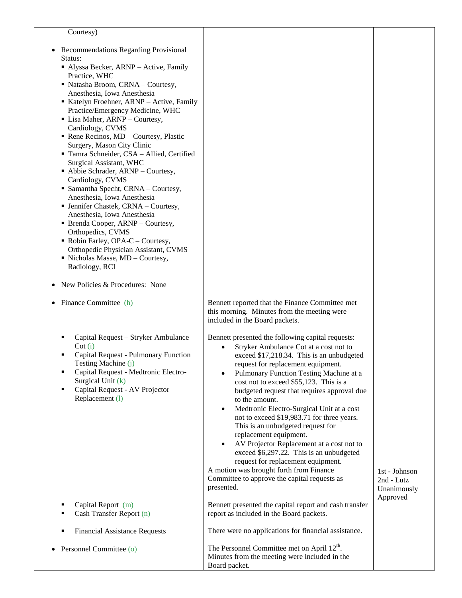| ٠<br>٠ | Courtesy)<br>Recommendations Regarding Provisional<br>Status:<br>• Alyssa Becker, ARNP - Active, Family<br>Practice, WHC<br>• Natasha Broom, CRNA - Courtesy,<br>Anesthesia, Iowa Anesthesia<br>Katelyn Froehner, ARNP - Active, Family<br>Practice/Emergency Medicine, WHC<br>• Lisa Maher, ARNP - Courtesy,<br>Cardiology, CVMS<br>Rene Recinos, MD - Courtesy, Plastic<br>Surgery, Mason City Clinic<br>Tamra Schneider, CSA - Allied, Certified<br>Surgical Assistant, WHC<br>• Abbie Schrader, ARNP - Courtesy,<br>Cardiology, CVMS<br>• Samantha Specht, CRNA - Courtesy,<br>Anesthesia, Iowa Anesthesia<br>• Jennifer Chastek, CRNA - Courtesy,<br>Anesthesia, Iowa Anesthesia<br>• Brenda Cooper, ARNP - Courtesy,<br>Orthopedics, CVMS<br>• Robin Farley, OPA-C – Courtesy,<br>Orthopedic Physician Assistant, CVMS<br>· Nicholas Masse, MD - Courtesy,<br>Radiology, RCI<br>New Policies & Procedures: None |                                                                                                                                                                                                                                                                                                                                                                                                                                                                                                                                                                                                                                                                                                                                                                                            |                                                        |
|--------|-----------------------------------------------------------------------------------------------------------------------------------------------------------------------------------------------------------------------------------------------------------------------------------------------------------------------------------------------------------------------------------------------------------------------------------------------------------------------------------------------------------------------------------------------------------------------------------------------------------------------------------------------------------------------------------------------------------------------------------------------------------------------------------------------------------------------------------------------------------------------------------------------------------------------|--------------------------------------------------------------------------------------------------------------------------------------------------------------------------------------------------------------------------------------------------------------------------------------------------------------------------------------------------------------------------------------------------------------------------------------------------------------------------------------------------------------------------------------------------------------------------------------------------------------------------------------------------------------------------------------------------------------------------------------------------------------------------------------------|--------------------------------------------------------|
| ٠      | Finance Committee (h)                                                                                                                                                                                                                                                                                                                                                                                                                                                                                                                                                                                                                                                                                                                                                                                                                                                                                                 | Bennett reported that the Finance Committee met<br>this morning. Minutes from the meeting were<br>included in the Board packets.                                                                                                                                                                                                                                                                                                                                                                                                                                                                                                                                                                                                                                                           |                                                        |
|        | Capital Request - Stryker Ambulance<br>$\cot(i)$<br>Capital Request - Pulmonary Function<br>Testing Machine (j)<br>Capital Request - Medtronic Electro-<br>Surgical Unit (k)<br>Capital Request - AV Projector<br>٠<br>Replacement (1)                                                                                                                                                                                                                                                                                                                                                                                                                                                                                                                                                                                                                                                                                | Bennett presented the following capital requests:<br>Stryker Ambulance Cot at a cost not to<br>$\bullet$<br>exceed \$17,218.34. This is an unbudgeted<br>request for replacement equipment.<br>Pulmonary Function Testing Machine at a<br>$\bullet$<br>cost not to exceed \$55,123. This is a<br>budgeted request that requires approval due<br>to the amount.<br>Medtronic Electro-Surgical Unit at a cost<br>$\bullet$<br>not to exceed \$19,983.71 for three years.<br>This is an unbudgeted request for<br>replacement equipment.<br>AV Projector Replacement at a cost not to<br>$\bullet$<br>exceed \$6,297.22. This is an unbudgeted<br>request for replacement equipment.<br>A motion was brought forth from Finance<br>Committee to approve the capital requests as<br>presented. | 1st - Johnson<br>2nd - Lutz<br>Unanimously<br>Approved |
|        | Capital Report (m)<br>Cash Transfer Report (n)<br>٠                                                                                                                                                                                                                                                                                                                                                                                                                                                                                                                                                                                                                                                                                                                                                                                                                                                                   | Bennett presented the capital report and cash transfer<br>report as included in the Board packets.                                                                                                                                                                                                                                                                                                                                                                                                                                                                                                                                                                                                                                                                                         |                                                        |
|        | <b>Financial Assistance Requests</b><br>٠                                                                                                                                                                                                                                                                                                                                                                                                                                                                                                                                                                                                                                                                                                                                                                                                                                                                             | There were no applications for financial assistance.                                                                                                                                                                                                                                                                                                                                                                                                                                                                                                                                                                                                                                                                                                                                       |                                                        |
|        | Personnel Committee (o)                                                                                                                                                                                                                                                                                                                                                                                                                                                                                                                                                                                                                                                                                                                                                                                                                                                                                               | The Personnel Committee met on April $12^{\text{th}}$ .<br>Minutes from the meeting were included in the                                                                                                                                                                                                                                                                                                                                                                                                                                                                                                                                                                                                                                                                                   |                                                        |

Board packet.